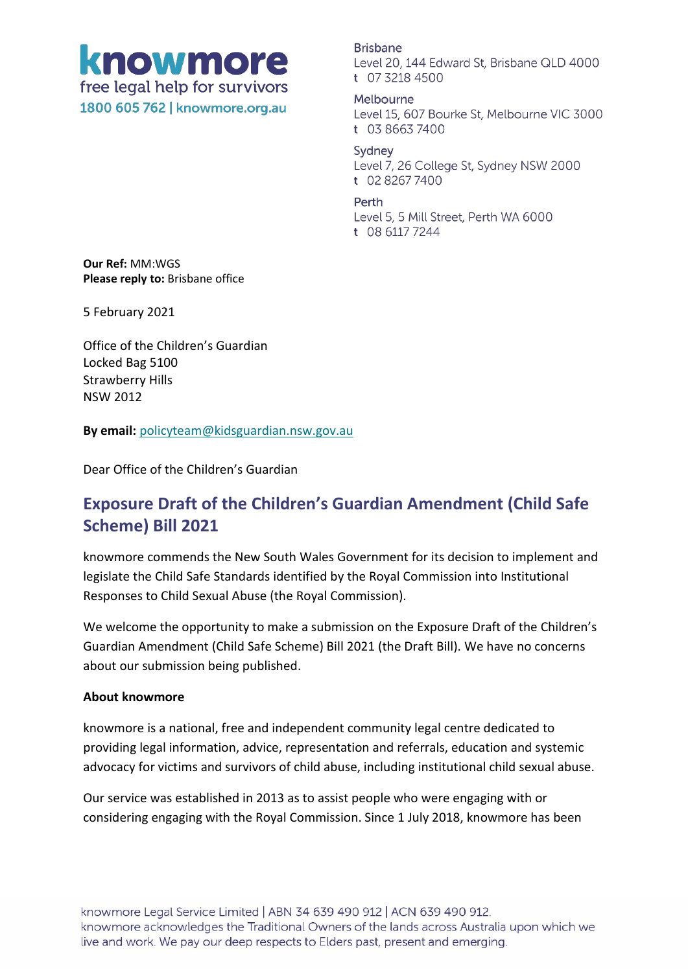# knowmore free legal help for survivors 1800 605 762 | knowmore.org.au

**Brisbane** Level 20, 144 Edward St, Brisbane QLD 4000 t 07 3218 4500

Melbourne Level 15, 607 Bourke St, Melbourne VIC 3000 t  $0386637400$ 

Sydney Level 7, 26 College St, Sydney NSW 2000 t 02 8267 7400

#### Perth

Level 5, 5 Mill Street, Perth WA 6000 t 08 6117 7244

**Our Ref:** MM:WGS **Please reply to:** Brisbane office

5 February 2021

Office of the Children's Guardian Locked Bag 5100 Strawberry Hills NSW 2012

**By email:** [policyteam@kidsguardian.nsw.gov.au](mailto:policyteam@kidsguardian.nsw.gov.au)

Dear Office of the Children's Guardian

## **Exposure Draft of the Children's Guardian Amendment (Child Safe Scheme) Bill 2021**

knowmore commends the New South Wales Government for its decision to implement and legislate the Child Safe Standards identified by the Royal Commission into Institutional Responses to Child Sexual Abuse (the Royal Commission).

We welcome the opportunity to make a submission on the Exposure Draft of the Children's Guardian Amendment (Child Safe Scheme) Bill 2021 (the Draft Bill). We have no concerns about our submission being published.

#### **About knowmore**

knowmore is a national, free and independent community legal centre dedicated to providing legal information, advice, representation and referrals, education and systemic advocacy for victims and survivors of child abuse, including institutional child sexual abuse.

Our service was established in 2013 as to assist people who were engaging with or considering engaging with the Royal Commission. Since 1 July 2018, knowmore has been

knowmore Legal Service Limited | ABN 34 639 490 912 | ACN 639 490 912. knowmore acknowledges the Traditional Owners of the lands across Australia upon which we live and work. We pay our deep respects to Elders past, present and emerging.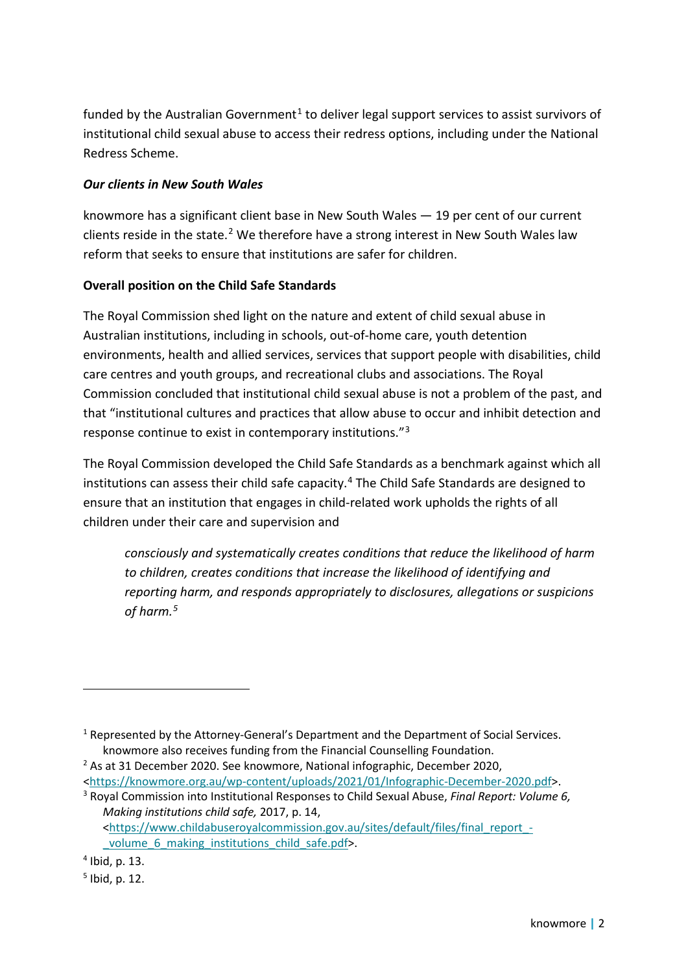funded by the Australian Government<sup>[1](#page-1-0)</sup> to deliver legal support services to assist survivors of institutional child sexual abuse to access their redress options, including under the National Redress Scheme.

#### *Our clients in New South Wales*

knowmore has a significant client base in New South Wales — 19 per cent of our current clients reside in the state.[2](#page-1-1) We therefore have a strong interest in New South Wales law reform that seeks to ensure that institutions are safer for children.

#### **Overall position on the Child Safe Standards**

The Royal Commission shed light on the nature and extent of child sexual abuse in Australian institutions, including in schools, out-of-home care, youth detention environments, health and allied services, services that support people with disabilities, child care centres and youth groups, and recreational clubs and associations. The Royal Commission concluded that institutional child sexual abuse is not a problem of the past, and that "institutional cultures and practices that allow abuse to occur and inhibit detection and response continue to exist in contemporary institutions."[3](#page-1-2)

The Royal Commission developed the Child Safe Standards as a benchmark against which all institutions can assess their child safe capacity. [4](#page-1-3) The Child Safe Standards are designed to ensure that an institution that engages in child-related work upholds the rights of all children under their care and supervision and

*consciously and systematically creates conditions that reduce the likelihood of harm to children, creates conditions that increase the likelihood of identifying and reporting harm, and responds appropriately to disclosures, allegations or suspicions of harm.[5](#page-1-4)*

<span id="page-1-0"></span><sup>&</sup>lt;sup>1</sup> Represented by the Attorney-General's Department and the Department of Social Services. knowmore also receives funding from the Financial Counselling Foundation. 2 As at 31 December 2020. See knowmore, National infographic, December 2020,

<span id="page-1-1"></span>[<sup>&</sup>lt;https://knowmore.org.au/wp-content/uploads/2021/01/Infographic-December-2020.pdf>](https://knowmore.org.au/wp-content/uploads/2021/01/Infographic-December-2020.pdf).

<span id="page-1-2"></span><sup>3</sup> Royal Commission into Institutional Responses to Child Sexual Abuse, *Final Report: Volume 6, Making institutions child safe,* 2017, p. 14, [<https://www.childabuseroyalcommission.gov.au/sites/default/files/final\\_report\\_](https://www.childabuseroyalcommission.gov.au/sites/default/files/final_report_-_volume_6_making_institutions_child_safe.pdf) volume 6 making institutions child safe.pdf>.

<span id="page-1-3"></span> $<sup>4</sup>$  Ibid, p. 13.</sup>

<span id="page-1-4"></span><sup>5</sup> Ibid, p. 12.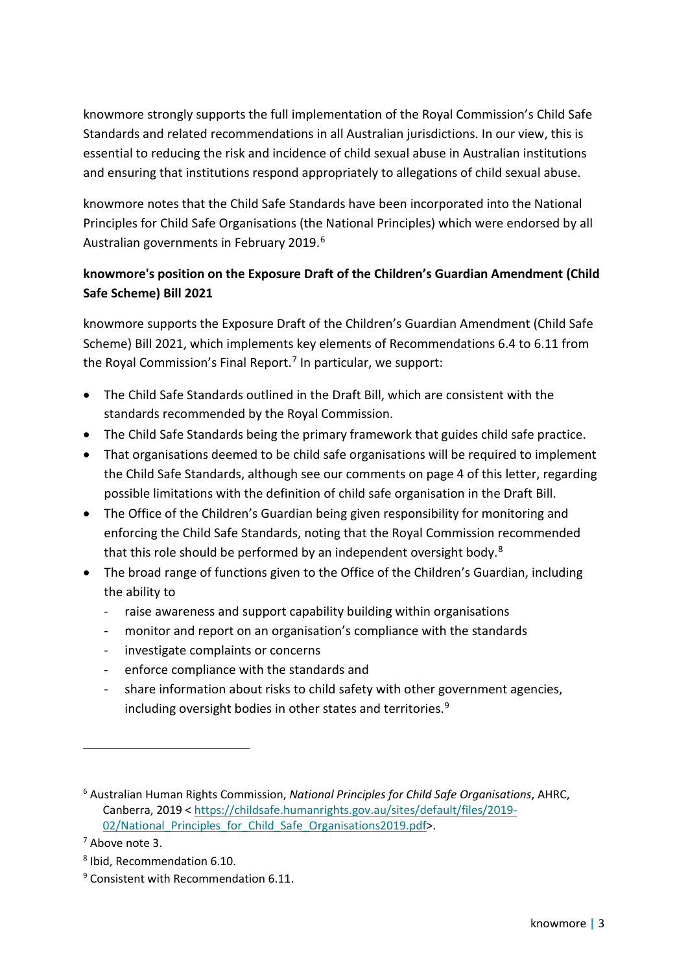knowmore strongly supports the full implementation of the Royal Commission's Child Safe Standards and related recommendations in all Australian jurisdictions. In our view, this is essential to reducing the risk and incidence of child sexual abuse in Australian institutions and ensuring that institutions respond appropriately to allegations of child sexual abuse.

knowmore notes that the Child Safe Standards have been incorporated into the National Principles for Child Safe Organisations (the National Principles) which were endorsed by all Australian governments in February 2019.[6](#page-2-0)

### **knowmore's position on the Exposure Draft of the Children's Guardian Amendment (Child Safe Scheme) Bill 2021**

knowmore supports the Exposure Draft of the Children's Guardian Amendment (Child Safe Scheme) Bill 2021, which implements key elements of Recommendations 6.4 to 6.11 from the Royal Commission's Final Report.<sup>[7](#page-2-1)</sup> In particular, we support:

- The Child Safe Standards outlined in the Draft Bill, which are consistent with the standards recommended by the Royal Commission.
- The Child Safe Standards being the primary framework that guides child safe practice.
- That organisations deemed to be child safe organisations will be required to implement the Child Safe Standards, although see our comments on page 4 of this letter, regarding possible limitations with the definition of child safe organisation in the Draft Bill.
- The Office of the Children's Guardian being given responsibility for monitoring and enforcing the Child Safe Standards, noting that the Royal Commission recommended that this role should be performed by an independent oversight body.<sup>[8](#page-2-2)</sup>
- The broad range of functions given to the Office of the Children's Guardian, including the ability to
	- raise awareness and support capability building within organisations
	- monitor and report on an organisation's compliance with the standards
	- investigate complaints or concerns
	- enforce compliance with the standards and
	- share information about risks to child safety with other government agencies, including oversight bodies in other states and territories.<sup>[9](#page-2-3)</sup>

<span id="page-2-0"></span><sup>6</sup> Australian Human Rights Commission, *National Principles for Child Safe Organisations*, AHRC, Canberra, 2019 < [https://childsafe.humanrights.gov.au/sites/default/files/2019-](https://childsafe.humanrights.gov.au/sites/default/files/2019-02/National_Principles_for_Child_Safe_Organisations2019.pdf) 02/National Principles for Child Safe Organisations2019.pdf>.

<span id="page-2-1"></span><sup>7</sup> Above note 3.

<span id="page-2-2"></span><sup>8</sup> Ibid, Recommendation 6.10.

<span id="page-2-3"></span><sup>&</sup>lt;sup>9</sup> Consistent with Recommendation 6.11.